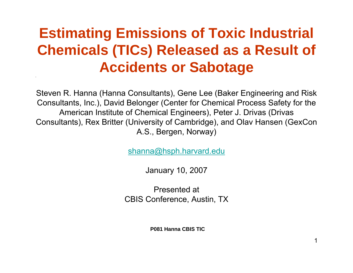## **Estimating Emissions of Toxic Industrial Chemicals (TICs) Released as a Result of Accidents or Sabotage**

Steven R. Hanna (Hanna Consultants), Gene Lee (Baker Engineering and Risk Consultants, Inc.), David Belonger (Center for Chemical Process Safety for the American Institute of Chemical Engineers), Peter J. Drivas (Drivas Consultants), Rex Britter (University of Cambridge), and Olav Hansen (GexCon A.S., Bergen, Norway)

[shanna@hsph.harvard.edu](mailto:shanna@hsph.harvard.edu)

January 10, 2007

Presented atCBIS Conference, Austin, TX

**P081 Hanna CBIS TIC**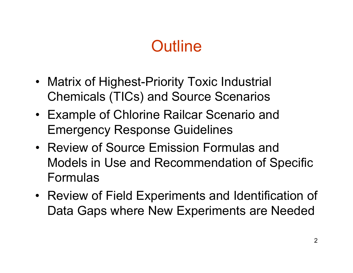# **Outline**

- Matrix of Highest-Priority Toxic Industrial Chemicals (TICs) and Source Scenarios
- Example of Chlorine Railcar Scenario and Emergency Response Guidelines
- Review of Source Emission Formulas and Models in Use and Recommendation of Specific Formulas
- Review of Field Experiments and Identification of Data Gaps where New Experiments are Needed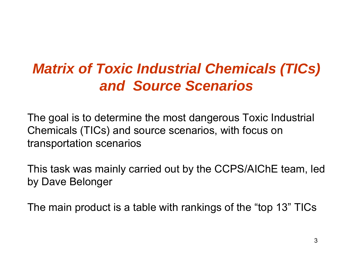### *Matrix of Toxic Industrial Chemicals (TICs) and Source Scenarios*

The goal is to determine the most dangerous Toxic Industrial Chemicals (TICs) and source scenarios, with focus on transportation scenarios

This task was mainly carried out by the CCPS/AIChE team, led by Dave Belonger

The main product is a table with rankings of the "top 13" TICs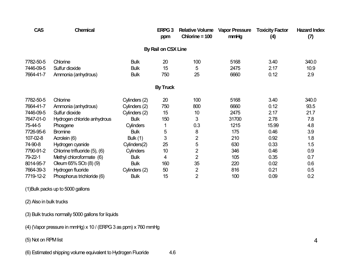| <b>CAS</b> | <b>Chemical</b>                   |                  | ERPG <sub>3</sub><br>ppm | <b>Relative Volume</b><br>Chlorine = $100$ | <b>Vapor Pressure</b><br>mmHg | <b>Toxicity Factor</b><br>(4) | <b>Hazard Index</b><br>(7) |
|------------|-----------------------------------|------------------|--------------------------|--------------------------------------------|-------------------------------|-------------------------------|----------------------------|
|            |                                   |                  | By Rail on CSX Line      |                                            |                               |                               |                            |
| 7782-50-5  | Chlorine                          | <b>Bulk</b>      | 20                       | 100                                        | 5168                          | 3.40                          | 340.0                      |
| 7446-09-5  | Sulfur dioxide                    | <b>Bulk</b>      | 15                       | 5                                          | 2475                          | 2.17                          | 10.9                       |
| 7664-41-7  | Ammonia (anhydrous)               | <b>Bulk</b>      | 750                      | 25                                         | 6660                          | 0.12                          | 2.9                        |
|            |                                   |                  | <b>By Truck</b>          |                                            |                               |                               |                            |
| 7782-50-5  | Chlorine                          | Cylinders (2)    | 20                       | 100                                        | 5168                          | 3.40                          | 340.0                      |
| 7664-41-7  | Ammonia (anhydrous)               | Cylinders (2)    | 750                      | 800                                        | 6660                          | 0.12                          | 93.5                       |
| 7446-09-5  | Sulfur dioxide                    | Cylinders (2)    | 15                       | 10                                         | 2475                          | 2.17                          | 21.7                       |
| 7647-01-0  | Hydrogen chloride anhydrous       | <b>Bulk</b>      | 150                      | 3                                          | 31700                         | 2.78                          | 7.8                        |
| 75-44-5    | Phosgene                          | <b>Cylinders</b> |                          | 0.3                                        | 1215                          | 15.99                         | 4.8                        |
| 7726-95-6  | <b>Bromine</b>                    | <b>Bulk</b>      | 5                        | 8                                          | 175                           | 0.46                          | 3.9                        |
| 107-02-8   | Acrolein (6)                      | Bulk $(1)$       | 3                        | $\overline{2}$                             | 210                           | 0.92                          | 1.8                        |
| 74-90-8    | Hydrogen cyanide                  | Cylinders(2)     | 25                       | 5                                          | 630                           | 0.33                          | 1.5                        |
| 7790-91-2  | Chlorine trifluoride (5), (6)     | <b>Cylinders</b> | 10                       | $\overline{2}$                             | 346                           | 0.46                          | 0.9                        |
| 79-22-1    | Methyl chloroformate (6)          | <b>Bulk</b>      | 4                        | $\overline{2}$                             | 105                           | 0.35                          | 0.7                        |
| 8014-95-7  | Oleum 65% SO <sub>3</sub> (8) (9) | <b>Bulk</b>      | 160                      | 35                                         | 220                           | 0.02                          | 0.6                        |
| 7664-39-3  | Hydrogen fluoride                 | Cylinders (2)    | 50                       | 2                                          | 816                           | 0.21                          | 0.5                        |
| 7719-12-2  | Phosphorus trichloride (6)        | <b>Bulk</b>      | 15                       | $\overline{2}$                             | 100                           | 0.09                          | 0.2                        |

(1)Bulk packs up to 5000 gallons

(2) Also in bulk trucks

(3) Bulk trucks normally 5000 gallons for liquids

(4) (Vapor pressure in mmHg) x 10 / (ERPG 3 as ppm) x 760 mmHg

(5) Not on RPM list

(6) Estimated shipping volume equivalent to Hydrogen Fluoride 4.6

4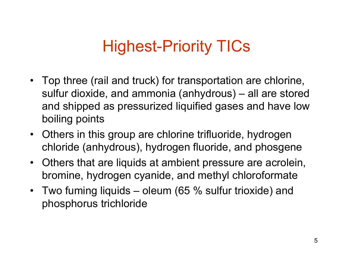# Highest-Priority TICs

- Top three (rail and truck) for transportation are chlorine, sulfur dioxide, and ammonia (anhydrous) – all are stored and shipped as pressurized liquified gases and have low boiling points
- Others in this group are chlorine trifluoride, hydrogen chloride (anhydrous), hydrogen fluoride, and phosgene
- Others that are liquids at ambient pressure are acrolein, bromine, hydrogen cyanide, and methyl chloroformate
- Two fuming liquids oleum (65 % sulfur trioxide) and phosphorus trichloride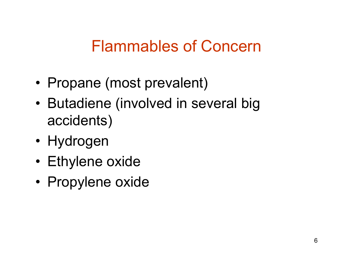## Flammables of Concern

- •• Propane (most prevalent)
- •• Butadiene (involved in several big accidents)
- Hydrogen
- Ethylene oxide
- Propylene oxide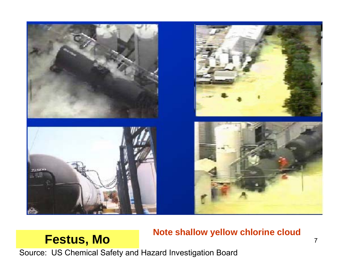

#### **Festus, Mo** *Note shallow yellow embrine cloud*  $\frac{7}{4}$ **Note shallow yellow chlorine cloud**

Source: US Chemical Safety and Hazard Investigation Board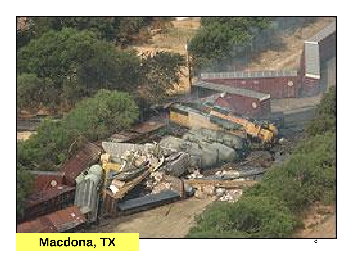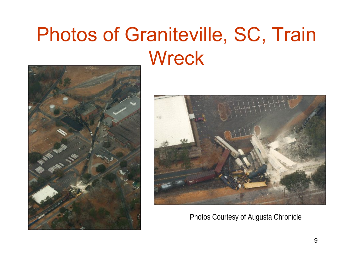# Photos of Graniteville, SC, Train **Wreck**





Photos Courtesy of Augusta Chronicle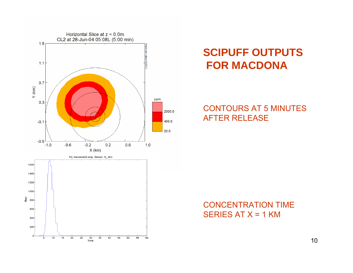

### **SCIPUFF OUTPUTSFOR MACDONA**

#### CONTOURS AT 5 MINUTESAFTER RELEASE

### CONCENTRATION TIMESERIES AT  $X = 1$  KM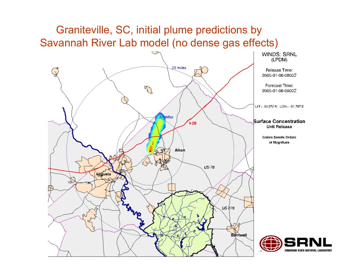### Graniteville, SC, initial plume predictions by Savannah River Lab model (no dense gas effects)



11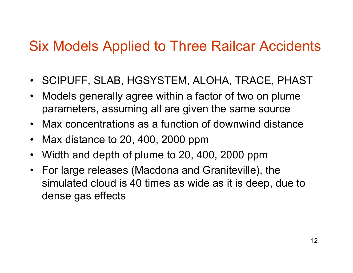### Six Models Applied to Three Railcar Accidents

- •SCIPUFF, SLAB, HGSYSTEM, ALOHA, TRACE, PHAST
- $\bullet$  Models generally agree within a factor of two on plume parameters, assuming all are given the same source
- Max concentrations as a function of downwind distance
- $\bullet$ Max distance to 20, 400, 2000 ppm
- •Width and depth of plume to 20, 400, 2000 ppm
- For large releases (Macdona and Graniteville), the simulated cloud is 40 times as wide as it is deep, due to dense gas effects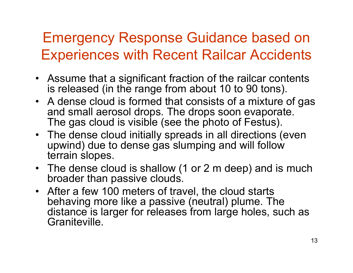## Emergency Response Guidance based on Experiences with Recent Railcar Accidents

- Assume that a significant fraction of the railcar contents is released (in the range from about 10 to 90 tons).
- A dense cloud is formed that consists of a mixture of gas and small aerosol drops. The drops soon evaporate. The gas cloud is visible (see the photo of Festus).
- The dense cloud initially spreads in all directions (even upwind) due to dense gas slumping and will follow terrain slopes.
- The dense cloud is shallow (1 or 2 m deep) and is much broader than passive clouds.
- After a few 100 meters of travel, the cloud starts behaving more like a passive (neutral) plume. The distance is larger for releases from large holes, such as Graniteville.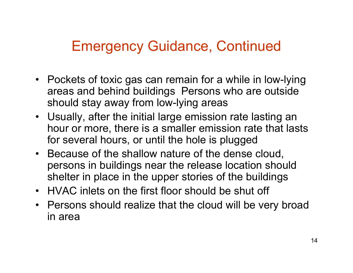### Emergency Guidance, Continued

- Pockets of toxic gas can remain for a while in low-lying areas and behind buildings Persons who are outside should stay away from low-lying areas
- Usually, after the initial large emission rate lasting an hour or more, there is a smaller emission rate that lasts for several hours, or until the hole is plugged
- Because of the shallow nature of the dense cloud, persons in buildings near the release location should shelter in place in the upper stories of the buildings
- HVAC inlets on the first floor should be shut off
- Persons should realize that the cloud will be very broad in area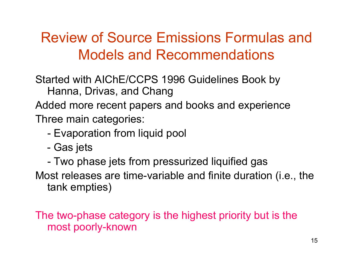## Review of Source Emissions Formulas and Models and Recommendations

Started with AIChE/CCPS 1996 Guidelines Book by Hanna, Drivas, and Chang

Added more recent papers and books and experience Three main categories:

- -Evaporation from liquid pool
- -- Gas jets
- -Two phase jets from pressurized liquified gas

Most releases are time-variable and finite duration (i.e., the tank empties)

The two-phase category is the highest priority but is the most poorly-known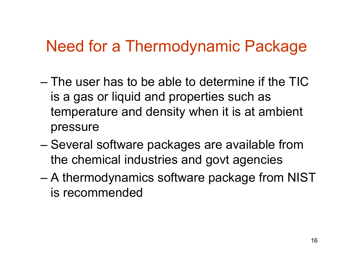## Need for a Thermodynamic Package

- The user has to be able to determine if the TIC is a gas or liquid and properties such as temperature and density when it is at ambient pressure
- –– Several software packages are available from the chemical industries and govt agencies
- – A thermodynamics software package from NIST is recommended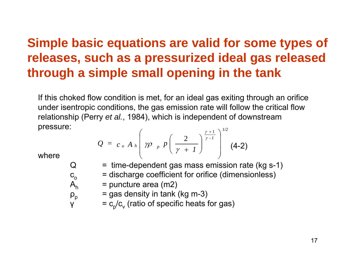### **Simple basic equations are valid for some types of releases, such as a pressurized ideal gas released through a simple small opening in the tank**

If this choked flow condition is met, for an ideal gas exiting through an orifice under isentropic conditions, the gas emission rate will follow the critical flow relationship (Perry *et al.*, 1984), which is independent of downstream pressure: *1/2*

$$
Q = c_o A_h \left( \gamma \rho_p p \left( \frac{2}{\gamma + 1} \right)^{\frac{\gamma + 1}{\gamma - 1}} \right)^{1/2}
$$
 (4-2)

where

 $\rm c_{o}$ 

 $\mathsf{A}_{\mathsf{h}}$ 

 $\rho_p$ 

- $Q = time-dependent gas mass emission rate (kg s-1)$ 
	- = discharge coefficient for orifice (dimensionless)
	- = puncture area (m2)
	- $=$  gas density in tank (kg m-3)
- γ  $= c_p/c_v$  (ratio of specific heats for gas)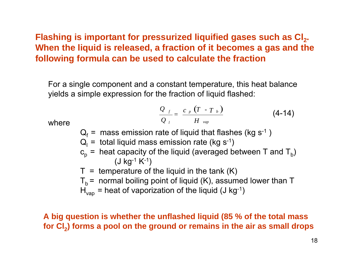**Flashing is important for pressurized liquified gases such as Cl<sub>2</sub>. When the liquid is released, a fraction of it becomes a gas and the following formula can be used to calculate the fraction**

For a single component and a constant temperature, this heat balance yields a simple expression for the fraction of liquid flashed:

$$
\frac{Q_{f}}{Q_{l}} = \frac{c_{p} (T - T_{b})}{H_{vap}}
$$
 (4-14)

where

- $\mathsf{Q}_\mathsf{f}$  = mass emission rate of liquid that flashes (kg s<sup>-1</sup> )
- $\mathsf{Q}_{\mathsf{I}}$  = total liquid mass emission rate (kg s<sup>-1</sup>)
- ${\tt c_p}$  =  $heat capacity of the liquid (averaged between T and  ${\tt T_b})$$ (J kg-1 K-1)
- $T =$  temperature of the liquid in the tank  $(K)$
- $T<sub>b</sub>$  = normal boiling point of liquid (K), assumed lower than T
- $H_{\text{van}}$  = heat of vaporization of the liquid (J kg-1)

**A big question is whether the unflashed liquid (85 % of the total mass** for Cl<sub>2</sub> forms a pool on the ground or remains in the air as small drops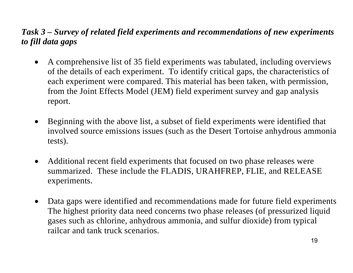### *Task 3 – Survey of related field experiments and recommendations of new experiments to fill data gaps*

- • A comprehensive list of 35 field experiments was tabulated, including overviews of the details of each experiment. To identify critical gaps, the characteristics of each experiment were compared. This material has been taken, with permission, from the Joint Effects Model (JEM) field experiment survey and gap analysis report.
- • Beginning with the above list, a subset of field experiments were identified that involved source emissions issues (such as the Desert Tortoise anhydrous ammonia tests).
- • Additional recent field experiments that focused on two phase releases were summarized. These include the FLADIS, URAHFREP, FLIE, and RELEASE experiments.
- $\bullet$  Data gaps were identified and recommendations made for future field experiments The highest priority data need concerns two phase releases (of pressurized liquid gases such as chlorine, anhydrous ammonia, and sulfur dioxide) from typical railcar and tank truck scenarios.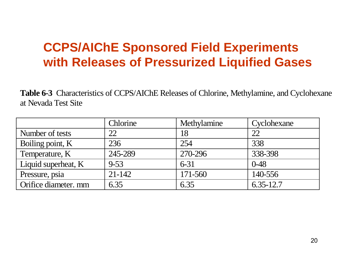### **CCPS/AIChE Sponsored Field Experiments with Releases of Pressurized Liquified Gases**

**Table 6-3** Characteristics of CCPS/AIChE Releases of Chlorine, Methylamine, and Cyclohexane at Nevada Test Site

|                      | <b>Chlorine</b> | Methylamine | Cyclohexane   |
|----------------------|-----------------|-------------|---------------|
| Number of tests      | 22              | 18          | 22            |
| Boiling point, K     | 236             | 254         | 338           |
| Temperature, K       | 245-289         | 270-296     | 338-398       |
| Liquid superheat, K  | $9 - 53$        | $6 - 31$    | $0 - 48$      |
| Pressure, psia       | 21-142          | 171-560     | 140-556       |
| Orifice diameter. mm | 6.35            | 6.35        | $6.35 - 12.7$ |